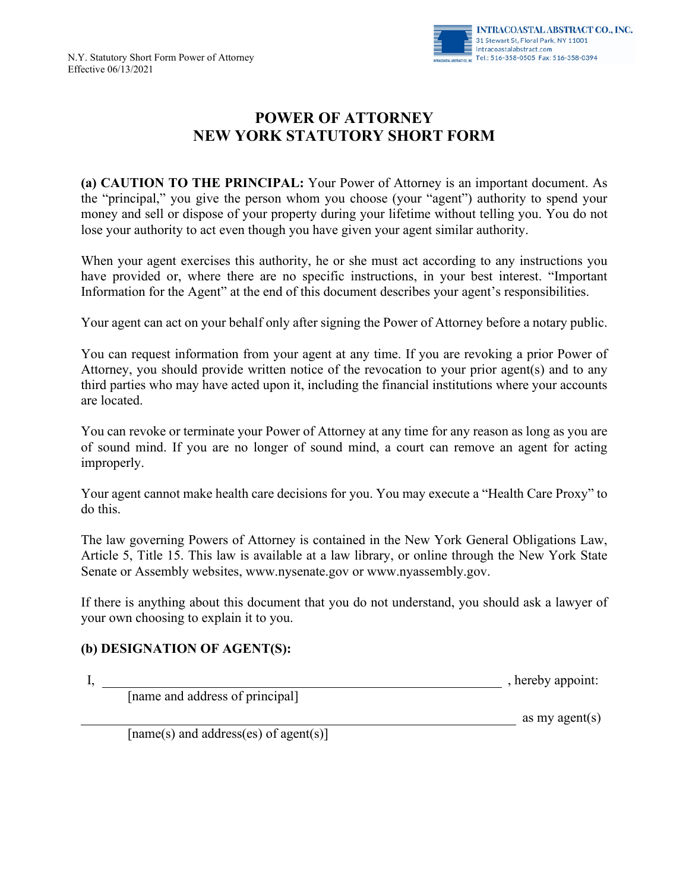

# **POWER OF ATTORNEY NEW YORK STATUTORY SHORT FORM**

**(a) CAUTION TO THE PRINCIPAL:** Your Power of Attorney is an important document. As the "principal," you give the person whom you choose (your "agent") authority to spend your money and sell or dispose of your property during your lifetime without telling you. You do not lose your authority to act even though you have given your agent similar authority.

When your agent exercises this authority, he or she must act according to any instructions you have provided or, where there are no specific instructions, in your best interest. "Important Information for the Agent" at the end of this document describes your agent's responsibilities.

Your agent can act on your behalf only after signing the Power of Attorney before a notary public.

You can request information from your agent at any time. If you are revoking a prior Power of Attorney, you should provide written notice of the revocation to your prior agent(s) and to any third parties who may have acted upon it, including the financial institutions where your accounts are located.

You can revoke or terminate your Power of Attorney at any time for any reason as long as you are of sound mind. If you are no longer of sound mind, a court can remove an agent for acting improperly.

Your agent cannot make health care decisions for you. You may execute a "Health Care Proxy" to do this.

The law governing Powers of Attorney is contained in the New York General Obligations Law, Article 5, Title 15. This law is available at a law library, or online through the New York State Senate or Assembly websites, www.nysenate.gov or www.nyassembly.gov.

If there is anything about this document that you do not understand, you should ask a lawyer of your own choosing to explain it to you.

#### **(b) DESIGNATION OF AGENT(S):**

I, hereby appoint:

[name and address of principal]

as my agent(s)

 $[name(s)]$  and address(es) of agent(s)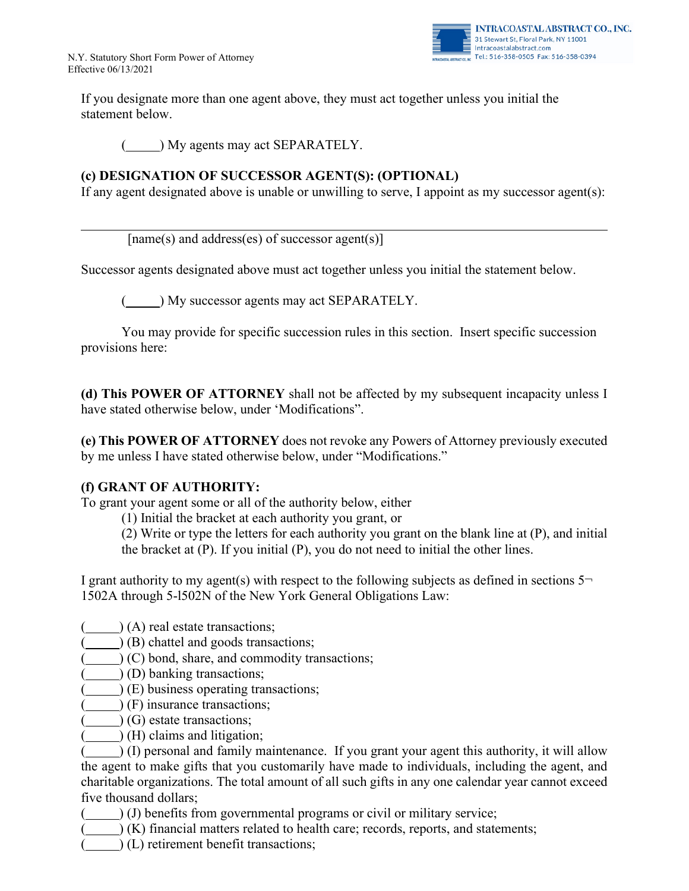

If you designate more than one agent above, they must act together unless you initial the statement below.

( ) My agents may act SEPARATELY.

## **(c) DESIGNATION OF SUCCESSOR AGENT(S): (OPTIONAL)**

If any agent designated above is unable or unwilling to serve, I appoint as my successor agent(s):

 $[name(s)$  and address(es) of successor agent(s)]

Successor agents designated above must act together unless you initial the statement below.

(  $\Box$ ) My successor agents may act SEPARATELY.

You may provide for specific succession rules in this section. Insert specific succession provisions here:

**(d) This POWER OF ATTORNEY** shall not be affected by my subsequent incapacity unless I have stated otherwise below, under 'Modifications".

**(e) This POWER OF ATTORNEY** does not revoke any Powers of Attorney previously executed by me unless I have stated otherwise below, under "Modifications."

## **(f) GRANT OF AUTHORITY:**

To grant your agent some or all of the authority below, either

(1) Initial the bracket at each authority you grant, or

(2) Write or type the letters for each authority you grant on the blank line at (P), and initial the bracket at (P). If you initial (P), you do not need to initial the other lines.

I grant authority to my agent(s) with respect to the following subjects as defined in sections  $5\neg$ 1502A through 5-l502N of the New York General Obligations Law:

- $($   $)$   $(A)$  real estate transactions;
- (B) chattel and goods transactions;
- ( $\qquad$ ) (C) bond, share, and commodity transactions;
- (D) banking transactions;
- ( $\qquad$ ) (E) business operating transactions;
- (F) insurance transactions;
- $($   $)$   $($ G $)$  estate transactions;
- $(\underline{\hspace{1cm}})$  (H) claims and litigation;

 $($   $)$  (I) personal and family maintenance. If you grant your agent this authority, it will allow the agent to make gifts that you customarily have made to individuals, including the agent, and charitable organizations. The total amount of all such gifts in any one calendar year cannot exceed five thousand dollars;

- $($   $)$  (J) benefits from governmental programs or civil or military service;
	- (K) financial matters related to health care; records, reports, and statements;
- (L) retirement benefit transactions;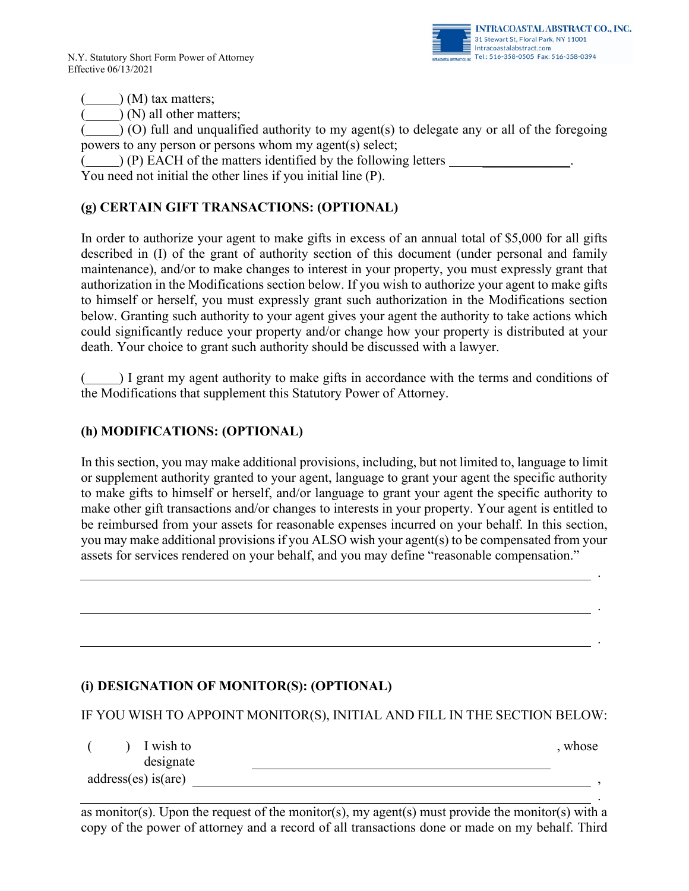

.

.

.

.

 $\frac{1}{1}$  (M) tax matters;

 $(N)$  all other matters;

( ) (O) full and unqualified authority to my agent(s) to delegate any or all of the foregoing powers to any person or persons whom my agent(s) select;

 $(\_\_\_\)$  (P) EACH of the matters identified by the following letters  $\_\_\_\_\_\_\$ You need not initial the other lines if you initial line (P).

# **(g) CERTAIN GIFT TRANSACTIONS: (OPTIONAL)**

In order to authorize your agent to make gifts in excess of an annual total of \$5,000 for all gifts described in (I) of the grant of authority section of this document (under personal and family maintenance), and/or to make changes to interest in your property, you must expressly grant that authorization in the Modifications section below. If you wish to authorize your agent to make gifts to himself or herself, you must expressly grant such authorization in the Modifications section below. Granting such authority to your agent gives your agent the authority to take actions which could significantly reduce your property and/or change how your property is distributed at your death. Your choice to grant such authority should be discussed with a lawyer.

( ) I grant my agent authority to make gifts in accordance with the terms and conditions of the Modifications that supplement this Statutory Power of Attorney.

## **(h) MODIFICATIONS: (OPTIONAL)**

In this section, you may make additional provisions, including, but not limited to, language to limit or supplement authority granted to your agent, language to grant your agent the specific authority to make gifts to himself or herself, and/or language to grant your agent the specific authority to make other gift transactions and/or changes to interests in your property. Your agent is entitled to be reimbursed from your assets for reasonable expenses incurred on your behalf. In this section, you may make additional provisions if you ALSO wish your agent(s) to be compensated from your assets for services rendered on your behalf, and you may define "reasonable compensation."

#### **(i) DESIGNATION OF MONITOR(S): (OPTIONAL)**

IF YOU WISH TO APPOINT MONITOR(S), INITIAL AND FILL IN THE SECTION BELOW:

| I wish to               | whose |
|-------------------------|-------|
| designate               |       |
| $address(es)$ is $(ar)$ |       |

as monitor(s). Upon the request of the monitor(s), my agent(s) must provide the monitor(s) with a copy of the power of attorney and a record of all transactions done or made on my behalf. Third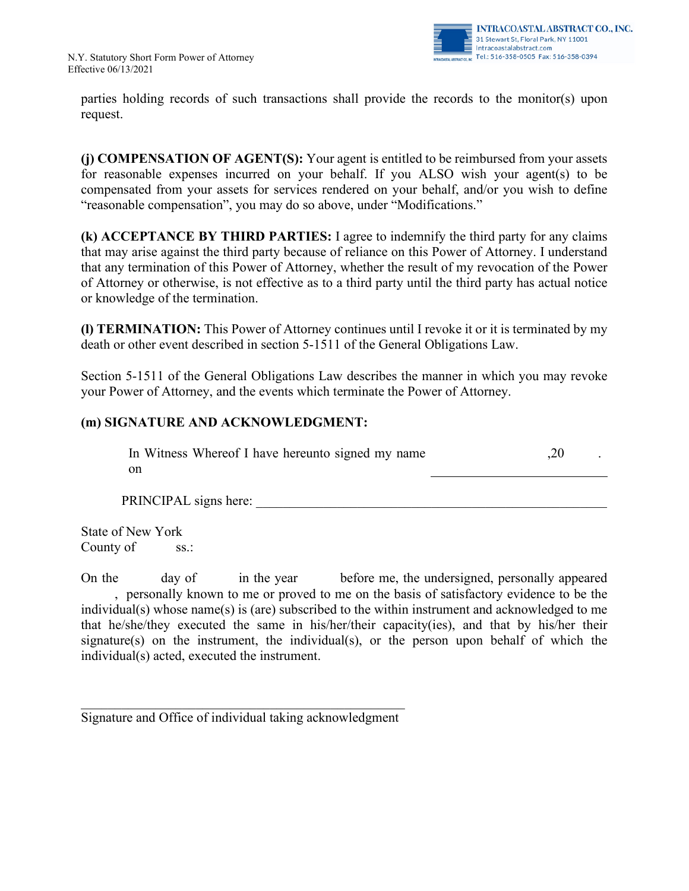

parties holding records of such transactions shall provide the records to the monitor(s) upon request.

**(j) COMPENSATION OF AGENT(S):** Your agent is entitled to be reimbursed from your assets for reasonable expenses incurred on your behalf. If you ALSO wish your agent(s) to be compensated from your assets for services rendered on your behalf, and/or you wish to define "reasonable compensation", you may do so above, under "Modifications."

**(k) ACCEPTANCE BY THIRD PARTIES:** I agree to indemnify the third party for any claims that may arise against the third party because of reliance on this Power of Attorney. I understand that any termination of this Power of Attorney, whether the result of my revocation of the Power of Attorney or otherwise, is not effective as to a third party until the third party has actual notice or knowledge of the termination.

**(l) TERMINATION:** This Power of Attorney continues until I revoke it or it is terminated by my death or other event described in section 5-1511 of the General Obligations Law.

Section 5-1511 of the General Obligations Law describes the manner in which you may revoke your Power of Attorney, and the events which terminate the Power of Attorney.

### **(m) SIGNATURE AND ACKNOWLEDGMENT:**

In Witness Whereof I have hereunto signed my name on ,20 .

PRINCIPAL signs here:

State of New York County of ss.:

On the day of in the year before me, the undersigned, personally appeared , personally known to me or proved to me on the basis of satisfactory evidence to be the individual(s) whose name(s) is (are) subscribed to the within instrument and acknowledged to me that he/she/they executed the same in his/her/their capacity(ies), and that by his/her their signature(s) on the instrument, the individual(s), or the person upon behalf of which the individual(s) acted, executed the instrument.

Signature and Office of individual taking acknowledgment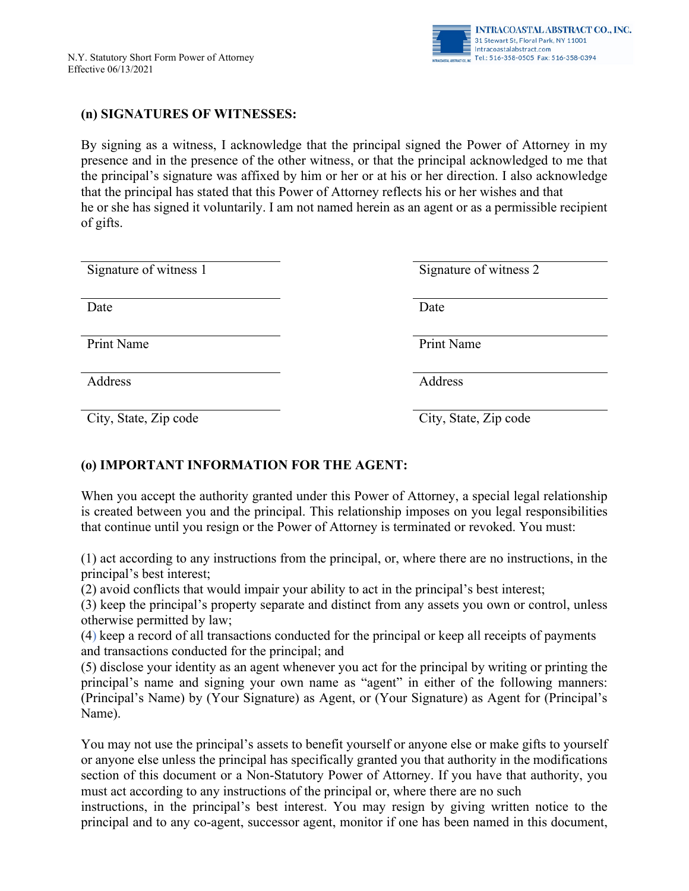

## **(n) SIGNATURES OF WITNESSES:**

By signing as a witness, I acknowledge that the principal signed the Power of Attorney in my presence and in the presence of the other witness, or that the principal acknowledged to me that the principal's signature was affixed by him or her or at his or her direction. I also acknowledge that the principal has stated that this Power of Attorney reflects his or her wishes and that he or she has signed it voluntarily. I am not named herein as an agent or as a permissible recipient of gifts.

| Signature of witness 1 | Signature of witness 2 |
|------------------------|------------------------|
|                        |                        |
| Date                   | Date                   |
|                        |                        |
|                        |                        |
| Print Name             | Print Name             |
|                        |                        |
| Address                | Address                |
|                        |                        |
|                        |                        |
| City, State, Zip code  | City, State, Zip code  |

## **(o) IMPORTANT INFORMATION FOR THE AGENT:**

When you accept the authority granted under this Power of Attorney, a special legal relationship is created between you and the principal. This relationship imposes on you legal responsibilities that continue until you resign or the Power of Attorney is terminated or revoked. You must:

(1) act according to any instructions from the principal, or, where there are no instructions, in the principal's best interest;

(2) avoid conflicts that would impair your ability to act in the principal's best interest;

(3) keep the principal's property separate and distinct from any assets you own or control, unless otherwise permitted by law;

(4) keep a record of all transactions conducted for the principal or keep all receipts of payments and transactions conducted for the principal; and

(5) disclose your identity as an agent whenever you act for the principal by writing or printing the principal's name and signing your own name as "agent" in either of the following manners: (Principal's Name) by (Your Signature) as Agent, or (Your Signature) as Agent for (Principal's Name).

You may not use the principal's assets to benefit yourself or anyone else or make gifts to yourself or anyone else unless the principal has specifically granted you that authority in the modifications section of this document or a Non-Statutory Power of Attorney. If you have that authority, you must act according to any instructions of the principal or, where there are no such

instructions, in the principal's best interest. You may resign by giving written notice to the principal and to any co-agent, successor agent, monitor if one has been named in this document,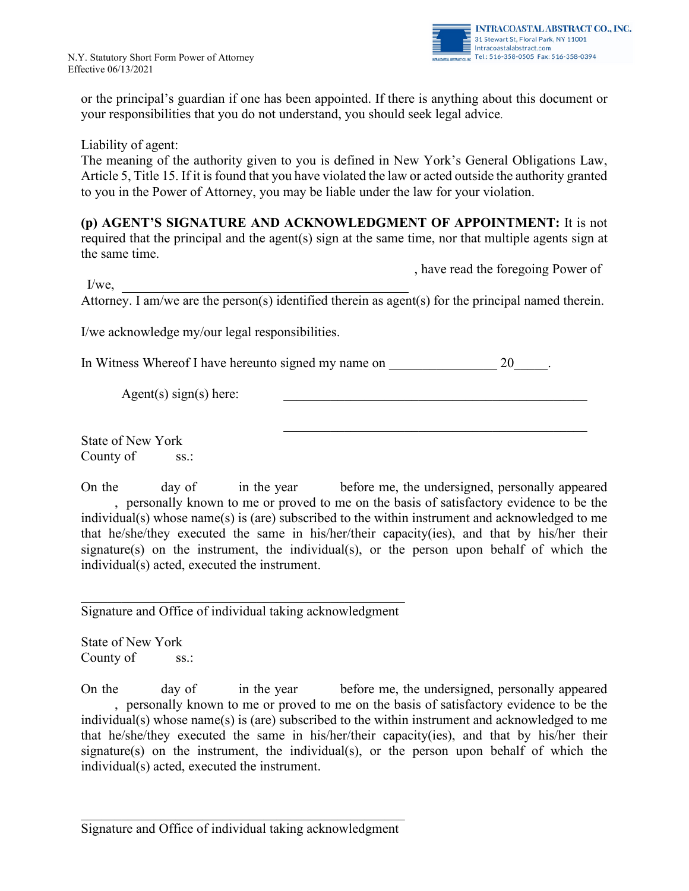

or the principal's guardian if one has been appointed. If there is anything about this document or your responsibilities that you do not understand, you should seek legal advice.

Liability of agent:

The meaning of the authority given to you is defined in New York's General Obligations Law, Article 5, Title 15. If it is found that you have violated the law or acted outside the authority granted to you in the Power of Attorney, you may be liable under the law for your violation.

**(p) AGENT'S SIGNATURE AND ACKNOWLEDGMENT OF APPOINTMENT:** It is not required that the principal and the agent(s) sign at the same time, nor that multiple agents sign at the same time.

, have read the foregoing Power of

\_\_\_\_\_\_\_\_\_\_\_\_\_\_\_\_\_\_\_\_\_\_\_\_\_\_\_\_\_\_\_\_\_\_\_\_\_\_\_\_\_\_\_\_\_

I/we,

Attorney. I am/we are the person(s) identified therein as agent(s) for the principal named therein.

I/we acknowledge my/our legal responsibilities.

In Witness Whereof I have hereunto signed my name on  $20$ .

Agent(s) sign(s) here:

State of New York County of ss.:

On the day of in the year before me, the undersigned, personally appeared , personally known to me or proved to me on the basis of satisfactory evidence to be the individual(s) whose name(s) is (are) subscribed to the within instrument and acknowledged to me that he/she/they executed the same in his/her/their capacity(ies), and that by his/her their signature(s) on the instrument, the individual(s), or the person upon behalf of which the individual(s) acted, executed the instrument.

 $\mathcal{L}_\text{max}$  , and the set of the set of the set of the set of the set of the set of the set of the set of the set of the set of the set of the set of the set of the set of the set of the set of the set of the set of the Signature and Office of individual taking acknowledgment

State of New York County of ss.:

On the day of in the year before me, the undersigned, personally appeared , personally known to me or proved to me on the basis of satisfactory evidence to be the individual(s) whose name(s) is (are) subscribed to the within instrument and acknowledged to me that he/she/they executed the same in his/her/their capacity(ies), and that by his/her their signature(s) on the instrument, the individual(s), or the person upon behalf of which the individual(s) acted, executed the instrument.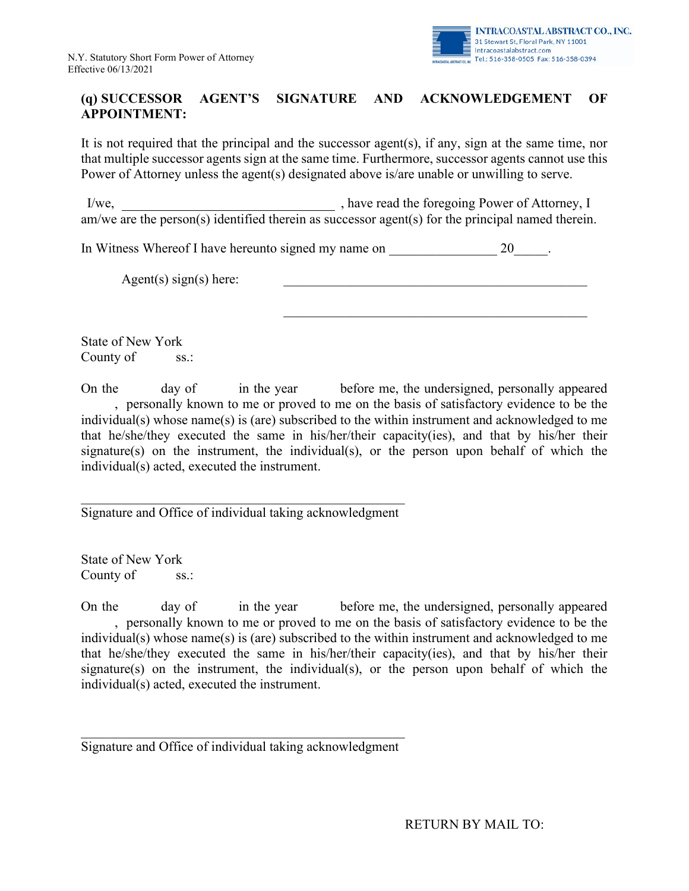

### **(q) SUCCESSOR AGENT'S SIGNATURE AND ACKNOWLEDGEMENT OF APPOINTMENT:**

It is not required that the principal and the successor agent(s), if any, sign at the same time, nor that multiple successor agents sign at the same time. Furthermore, successor agents cannot use this Power of Attorney unless the agent(s) designated above is/are unable or unwilling to serve.

I/we,  $\qquad \qquad$  , have read the foregoing Power of Attorney, I am/we are the person(s) identified therein as successor agent(s) for the principal named therein.

In Witness Whereof I have hereunto signed my name on  $20$ .

Agent(s) sign(s) here:

State of New York County of ss.:

On the day of in the year before me, the undersigned, personally appeared , personally known to me or proved to me on the basis of satisfactory evidence to be the individual(s) whose name(s) is (are) subscribed to the within instrument and acknowledged to me that he/she/they executed the same in his/her/their capacity(ies), and that by his/her their signature(s) on the instrument, the individual(s), or the person upon behalf of which the individual(s) acted, executed the instrument.

\_\_\_\_\_\_\_\_\_\_\_\_\_\_\_\_\_\_\_\_\_\_\_\_\_\_\_\_\_\_\_\_\_\_\_\_\_\_\_\_\_\_\_\_\_

Signature and Office of individual taking acknowledgment

State of New York County of ss.:

On the day of in the year before me, the undersigned, personally appeared , personally known to me or proved to me on the basis of satisfactory evidence to be the individual(s) whose name(s) is (are) subscribed to the within instrument and acknowledged to me that he/she/they executed the same in his/her/their capacity(ies), and that by his/her their signature(s) on the instrument, the individual(s), or the person upon behalf of which the individual(s) acted, executed the instrument.

Signature and Office of individual taking acknowledgment